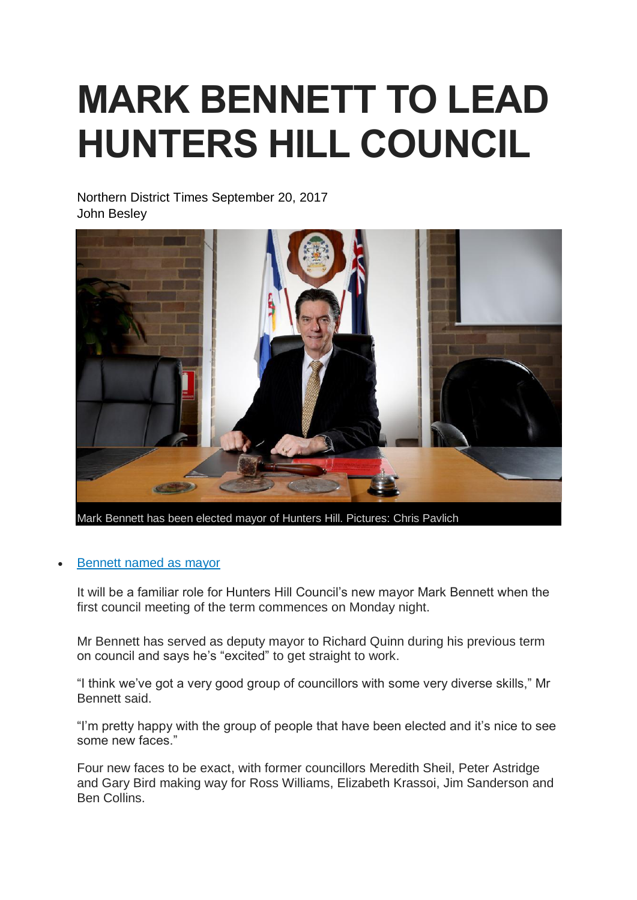## **MARK BENNETT TO LEAD HUNTERS HILL COUNCIL**

Northern District Times September 20, 2017 John Besley



**Mark Bennett has been elected mayor of Hunters Hill. Pictures: Chris Pavlich**

## • [Bennett](http://www.dailytelegraph.com.au/newslocal/northern-district-times/preferential-votes-see-independent-mark-bennett-take-mayoralty-ahead-of-liberal-zac-miles/news-story/0a51a28ed8fc4bccd9ae6528059bbb5b) named as mayor

It will be a familiar role for Hunters Hill Council's new mayor Mark Bennett when the first council meeting of the term commences on Monday night.

Mr Bennett has served as deputy mayor to Richard Quinn during his previous term on council and says he's "excited" to get straight to work.

"I think we've got a very good group of councillors with some very diverse skills," Mr Bennett said.

"I'm pretty happy with the group of people that have been elected and it's nice to see some new faces."

Four new faces to be exact, with former councillors Meredith Sheil, Peter Astridge and Gary Bird making way for Ross Williams, Elizabeth Krassoi, Jim Sanderson and Ben Collins.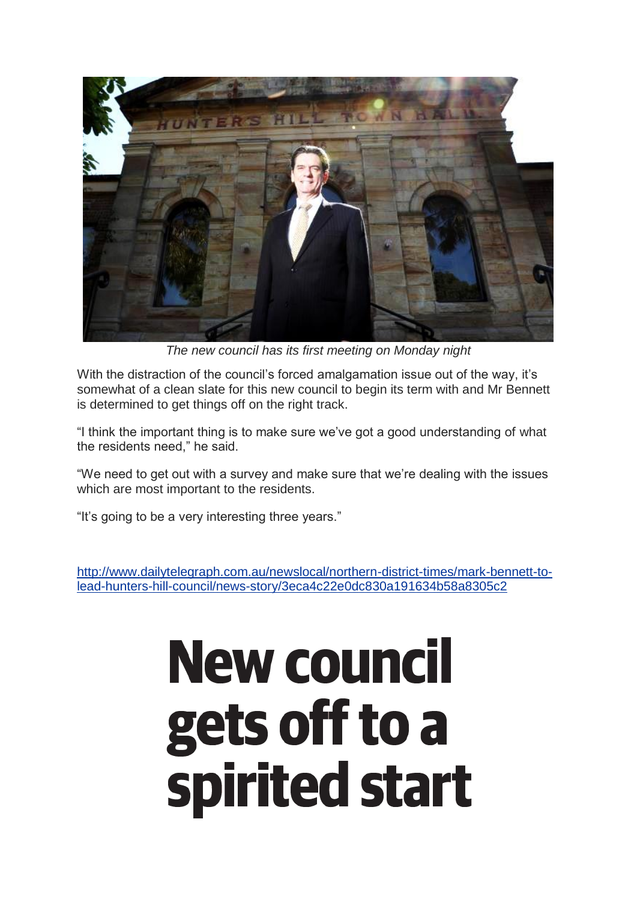

*The new council has its first meeting on Monday night*

With the distraction of the council's forced amalgamation issue out of the way, it's somewhat of a clean slate for this new council to begin its term with and Mr Bennett is determined to get things off on the right track.

"I think the important thing is to make sure we've got a good understanding of what the residents need," he said.

"We need to get out with a survey and make sure that we're dealing with the issues which are most important to the residents.

"It's going to be a very interesting three years."

[http://www.dailytelegraph.com.au/newslocal/northern-district-times/mark-bennett-to](http://www.dailytelegraph.com.au/newslocal/northern-district-times/mark-bennett-to-lead-hunters-hill-council/news-story/3eca4c22e0dc830a191634b58a8305c2)[lead-hunters-hill-council/news-story/3eca4c22e0dc830a191634b58a8305c2](http://www.dailytelegraph.com.au/newslocal/northern-district-times/mark-bennett-to-lead-hunters-hill-council/news-story/3eca4c22e0dc830a191634b58a8305c2)

# **New council** gets off to a spirited start